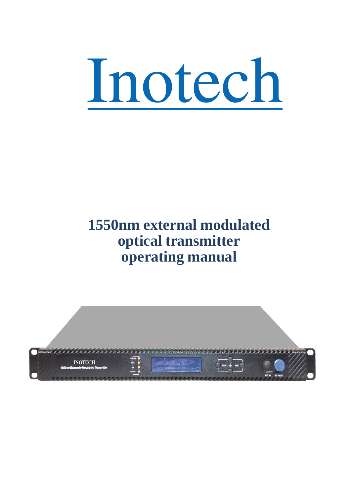

# **1550nm external modulated optical transmitter operating manual**

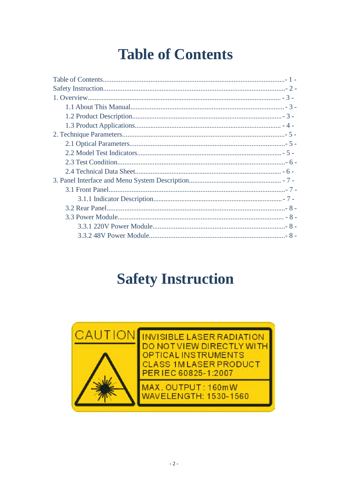# **Table of Contents**

<span id="page-1-0"></span>

# **Safety Instruction**



**INVISIBLE LASER RADIATION** DO NOT VIEW DIRECTLY WITH **OPTICAL INSTRUMENTS CLASS 1M LASER PRODUCT** PERIEC 60825-1:2007

MAX. OUTPUT: 160mW **WAVELENGTH: 1530-1560**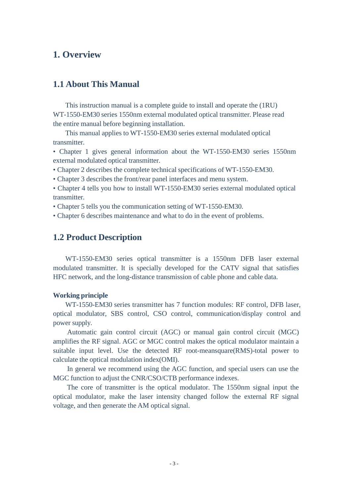#### <span id="page-2-0"></span>**1. Overview**

#### **1.1 About This Manual**

This instruction manual is a complete guide to install and operate the (1RU) WT-1550-EM30 series 1550nm external modulated optical transmitter. Please read the entire manual before beginning installation.

This manual applies to WT-1550-EM30 series external modulated optical transmitter.

• Chapter 1 gives general information about the WT-1550-EM30 series 1550nm external modulated optical transmitter.

• Chapter 2 describes the complete technical specifications of WT-1550-EM30.

• Chapter 3 describes the front/rear panel interfaces and menu system.

• Chapter 4 tells you how to install WT-1550-EM30 series external modulated optical transmitter.

• Chapter 5 tells you the communication setting of WT-1550-EM30.

• Chapter 6 describes maintenance and what to do in the event of problems.

#### **1.2 Product Description**

WT-1550-EM30 series optical transmitter is a 1550nm DFB laser external modulated transmitter. It is specially developed for the CATV signal that satisfies HFC network, and the long-distance transmission of cable phone and cable data.

#### **Working principle**

WT-1550-EM30 series transmitter has 7 function modules: RF control, DFB laser, optical modulator, SBS control, CSO control, communication/display control and power supply.

Automatic gain control circuit (AGC) or manual gain control circuit (MGC) amplifies the RF signal. AGC or MGC control makes the optical modulator maintain a suitable input level. Use the detected RF root-meansquare(RMS)-total power to calculate the optical modulation index(OMI).

In general we recommend using the AGC function, and special users can use the MGC function to adjust the CNR/CSO/CTB performance indexes.

The core of transmitter is the optical modulator. The 1550nm signal input the optical modulator, make the laser intensity changed follow the external RF signal voltage, and then generate the AM optical signal.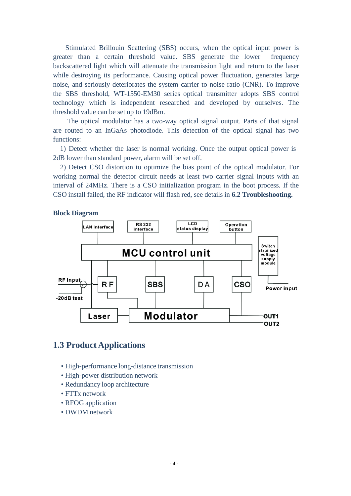<span id="page-3-0"></span>Stimulated Brillouin Scattering (SBS) occurs, when the optical input power is greater than a certain threshold value. SBS generate the lower frequency backscattered light which will attenuate the transmission light and return to the laser while destroying its performance. Causing optical power fluctuation, generates large noise, and seriously deteriorates the system carrier to noise ratio (CNR). To improve the SBS threshold, WT-1550-EM30 series optical transmitter adopts SBS control technology which is independent researched and developed by ourselves. The threshold value can be set up to 19dBm.

The optical modulator has a two-way optical signal output. Parts of that signal are routed to an InGaAs photodiode. This detection of the optical signal has two functions:

1) Detect whether the laser is normal working. Once the output optical power is 2dB lower than standard power, alarm will be set off.

2) Detect CSO distortion to optimize the bias point of the optical modulator. For working normal the detector circuit needs at least two carrier signal inputs with an interval of 24MHz. There is a CSO initialization program in the boot process. If the CSO install failed, the RF indicator will flash red, see details in **6.2 Troubleshooting.**



#### **Block Diagram**

#### **1.3 Product Applications**

- High-performance long-distance transmission
- High-power distribution network
- Redundancy loop architecture
- FTTx network
- RFOG application
- DWDM network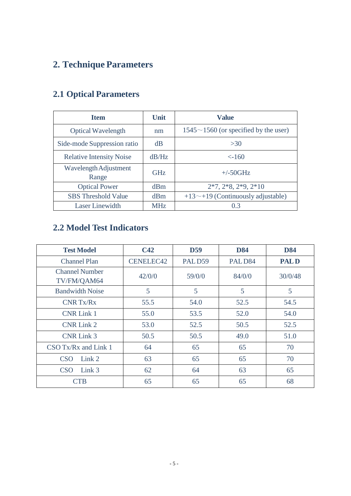## <span id="page-4-0"></span>**2. Technique Parameters**

| <b>Item</b>                     | Unit       | <b>Value</b>                                |
|---------------------------------|------------|---------------------------------------------|
| <b>Optical Wavelength</b>       | nm         | $1545 \sim 1560$ (or specified by the user) |
| Side-mode Suppression ratio     | dB         | >30                                         |
| <b>Relative Intensity Noise</b> | dB/Hz      | $<$ -160                                    |
| Wavelength Adjustment<br>Range  | <b>GHz</b> | $+\frac{50}{\text{GHz}}$                    |
| <b>Optical Power</b>            | dBm        | $2*7, 2*8, 2*9, 2*10$                       |
| <b>SBS</b> Threshold Value      | dBm        | $+13\sim+19$ (Continuously adjustable)      |
| <b>Laser Linewidth</b>          | <b>MHz</b> | 0.3                                         |

## **2.1 Optical Parameters**

### **2.2 Model Test Indicators**

| <b>Test Model</b>                    | C42              | D <sub>59</sub> | <b>D84</b>         | <b>D84</b>  |
|--------------------------------------|------------------|-----------------|--------------------|-------------|
| <b>Channel Plan</b>                  | <b>CENELEC42</b> | PALD59          | PALD <sub>84</sub> | <b>PALD</b> |
| <b>Channel Number</b><br>TV/FM/QAM64 | 42/0/0           | 59/0/0          | 84/0/0             | 30/0/48     |
| <b>Bandwidth Noise</b>               | 5                | 5               | 5                  | 5           |
| <b>CNR Tx/Rx</b>                     | 55.5             | 54.0            | 52.5               | 54.5        |
| <b>CNR Link 1</b>                    | 55.0             | 53.5            | 52.0               | 54.0        |
| <b>CNR Link 2</b>                    | 53.0             | 52.5            | 50.5               | 52.5        |
| <b>CNR Link 3</b>                    | 50.5             | 50.5            | 49.0               | 51.0        |
| $CSO$ Tx/Rx and Link 1               | 64               | 65              | 65                 | 70          |
| <b>CSO</b><br>Link <sub>2</sub>      | 63               | 65              | 65                 | 70          |
| <b>CSO</b><br>Link <sub>3</sub>      | 62               | 64              | 63                 | 65          |
| <b>CTB</b>                           | 65               | 65              | 65                 | 68          |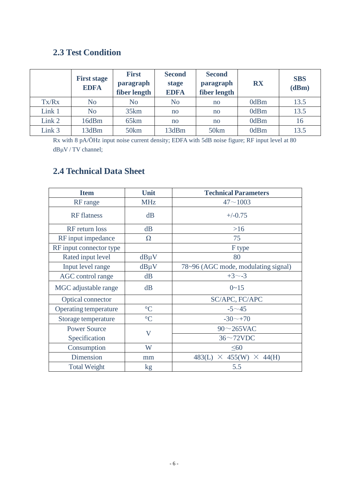### **2.3 Test Condition**

<span id="page-5-0"></span>

|        | <b>First stage</b><br><b>EDFA</b> | <b>First</b><br>paragraph<br>fiber length | <b>Second</b><br>stage<br>EDFA | <b>Second</b><br><b>RX</b><br>paragraph<br>fiber length |      | <b>SBS</b><br>(dBm) |
|--------|-----------------------------------|-------------------------------------------|--------------------------------|---------------------------------------------------------|------|---------------------|
| Tx/Rx  | No                                | No                                        | No                             | no                                                      | 0dBm | 13.5                |
| Link 1 | N <sub>o</sub>                    | 35km                                      | no                             | no                                                      | 0dBm | 13.5                |
| Link 2 | 16dBm                             | 65 <sub>km</sub>                          | no                             | no                                                      | 0dBm | 16                  |
| Link 3 | 13dBm                             | 50 <sub>km</sub>                          | 13dBm                          | 50 <sub>km</sub>                                        | 0dBm | 13.5                |

Rx with 8 pA/ÖHz input noise current density; EDFA with 5dB noise figure; RF input level at 80 dBμV / TV channel;

### **2.4 Technical Data Sheet**

| <b>Item</b>             | Unit                    | <b>Technical Parameters</b>              |
|-------------------------|-------------------------|------------------------------------------|
| RF range                | <b>MHz</b>              | $47 - 1003$                              |
| <b>RF</b> flatness      | dB                      | $+/-0.75$                                |
| RF return loss          | dB                      | $>16$                                    |
| RF input impedance      | $\Omega$                | 75                                       |
| RF input connector type |                         | F type                                   |
| Rated input level       | $dB\mu V$               | 80                                       |
| Input level range       | $dB\mu V$               | 78~96 (AGC mode, modulating signal)      |
| AGC control range       | dB                      | $+3 - -3$                                |
| MGC adjustable range    | dB                      | $0 - 15$                                 |
| Optical connector       |                         | SC/APC, FC/APC                           |
| Operating temperature   | $\rm ^{\circ}C$         | $-5 \sim 45$                             |
| Storage temperature     | $\rm ^{\circ}C$         | $-30$ ~ $+70$                            |
| <b>Power Source</b>     |                         | $90\sim$ 265VAC                          |
| Specification           | $\overline{\mathsf{V}}$ | $36 \sim 72$ VDC                         |
| Consumption             | W                       | $\leq 60$                                |
| Dimension               | mm                      | $\times$ 455(W) $\times$ 44(H)<br>483(L) |
| <b>Total Weight</b>     | kg                      | 5.5                                      |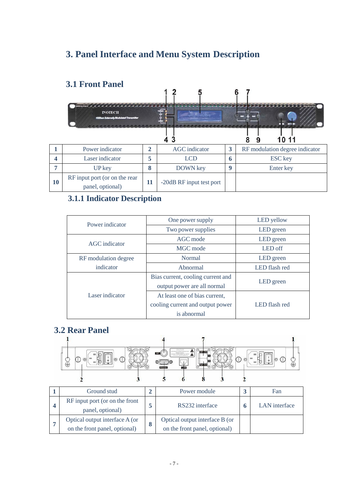## <span id="page-6-0"></span>**3. Panel Interface and Menu System Description**

#### **3.1 Front Panel**  $\overline{2}$ a a a a a **INOTECH**  $\ddot{\ddot{\text{r}}}$ œ  $\ddot{}$  $\overline{\phantom{a}}$  $\overline{\phantom{a}}$  $\frac{1}{4}$  3 10 11 8 9 **1** Power indicator **2** AGC indicator **3** RF modulation degree indicator **4** Laser indicator **5** LCD **6** ESC key **7** UP key **8** DOWN key **9** Enter key RF input port (or on the rear **11** -20dB RF input test port **10** panel, optional)

### **3.1.1 Indicator Description**

| Power indicator      | One power supply                  | LED yellow    |
|----------------------|-----------------------------------|---------------|
|                      | Two power supplies                | LED green     |
| AGC indicator        | AGC mode                          | LED green     |
|                      | MGC mode                          | LED off       |
| RF modulation degree | Normal                            | LED green     |
| indicator            | Abnormal                          | LED flash red |
|                      | Bias current, cooling current and |               |
|                      | output power are all normal       | LED green     |
| Laser indicator      | At least one of bias current,     |               |
|                      | cooling current and output power  | LED flash red |
|                      | is abnormal                       |               |

### <span id="page-6-1"></span>**3.2 Rear Panel**



| Ground stud                                                     | Power module                                                    | Fan           |
|-----------------------------------------------------------------|-----------------------------------------------------------------|---------------|
| RF input port (or on the front<br>panel, optional)              | RS232 interface                                                 | LAN interface |
| Optical output interface A (or<br>on the front panel, optional) | Optical output interface B (or<br>on the front panel, optional) |               |